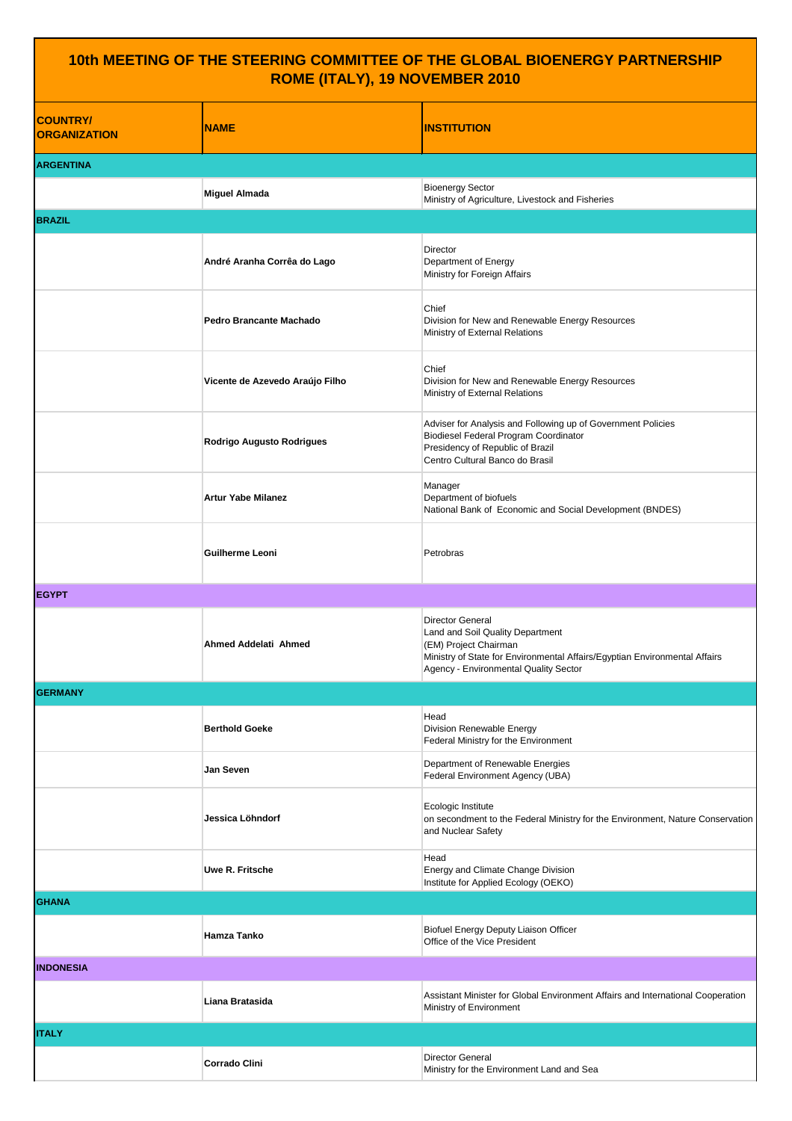## **10th MEETING OF THE STEERING COMMITTEE OF THE GLOBAL BIOENERGY PARTNERSHIP ROME (ITALY), 19 NOVEMBER 2010**

| <b>COUNTRY/</b><br><b>ORGANIZATION</b> | <b>NAME</b>                     | <b>INSTITUTION</b>                                                                                                                                                                                   |
|----------------------------------------|---------------------------------|------------------------------------------------------------------------------------------------------------------------------------------------------------------------------------------------------|
| <b>ARGENTINA</b>                       |                                 |                                                                                                                                                                                                      |
|                                        | <b>Miguel Almada</b>            | <b>Bioenergy Sector</b><br>Ministry of Agriculture, Livestock and Fisheries                                                                                                                          |
| <b>BRAZIL</b>                          |                                 |                                                                                                                                                                                                      |
|                                        | André Aranha Corrêa do Lago     | Director<br>Department of Energy<br>Ministry for Foreign Affairs                                                                                                                                     |
|                                        | Pedro Brancante Machado         | Chief<br>Division for New and Renewable Energy Resources<br>Ministry of External Relations                                                                                                           |
|                                        | Vicente de Azevedo Araújo Filho | Chief<br>Division for New and Renewable Energy Resources<br>Ministry of External Relations                                                                                                           |
|                                        | Rodrigo Augusto Rodrigues       | Adviser for Analysis and Following up of Government Policies<br><b>Biodiesel Federal Program Coordinator</b><br>Presidency of Republic of Brazil<br>Centro Cultural Banco do Brasil                  |
|                                        | <b>Artur Yabe Milanez</b>       | Manager<br>Department of biofuels<br>National Bank of Economic and Social Development (BNDES)                                                                                                        |
|                                        | Guilherme Leoni                 | Petrobras                                                                                                                                                                                            |
| <b>EGYPT</b>                           |                                 |                                                                                                                                                                                                      |
|                                        | Ahmed Addelati Ahmed            | Director General<br>Land and Soil Quality Department<br>(EM) Project Chairman<br>Ministry of State for Environmental Affairs/Egyptian Environmental Affairs<br>Agency - Environmental Quality Sector |
| <b>GERMANY</b>                         |                                 |                                                                                                                                                                                                      |
|                                        | <b>Berthold Goeke</b>           | Head<br>Division Renewable Energy<br>Federal Ministry for the Environment                                                                                                                            |
|                                        | Jan Seven                       | Department of Renewable Energies<br>Federal Environment Agency (UBA)                                                                                                                                 |
|                                        | Jessica Löhndorf                | Ecologic Institute<br>on secondment to the Federal Ministry for the Environment, Nature Conservation<br>and Nuclear Safety                                                                           |
|                                        | Uwe R. Fritsche                 | Head<br>Energy and Climate Change Division<br>Institute for Applied Ecology (OEKO)                                                                                                                   |
| <b>GHANA</b>                           |                                 |                                                                                                                                                                                                      |
|                                        | <b>Hamza Tanko</b>              | Biofuel Energy Deputy Liaison Officer<br>Office of the Vice President                                                                                                                                |
| <b>INDONESIA</b>                       |                                 |                                                                                                                                                                                                      |
|                                        | Liana Bratasida                 | Assistant Minister for Global Environment Affairs and International Cooperation<br>Ministry of Environment                                                                                           |
| <b>ITALY</b>                           |                                 |                                                                                                                                                                                                      |
|                                        | <b>Corrado Clini</b>            | Director General<br>Ministry for the Environment Land and Sea                                                                                                                                        |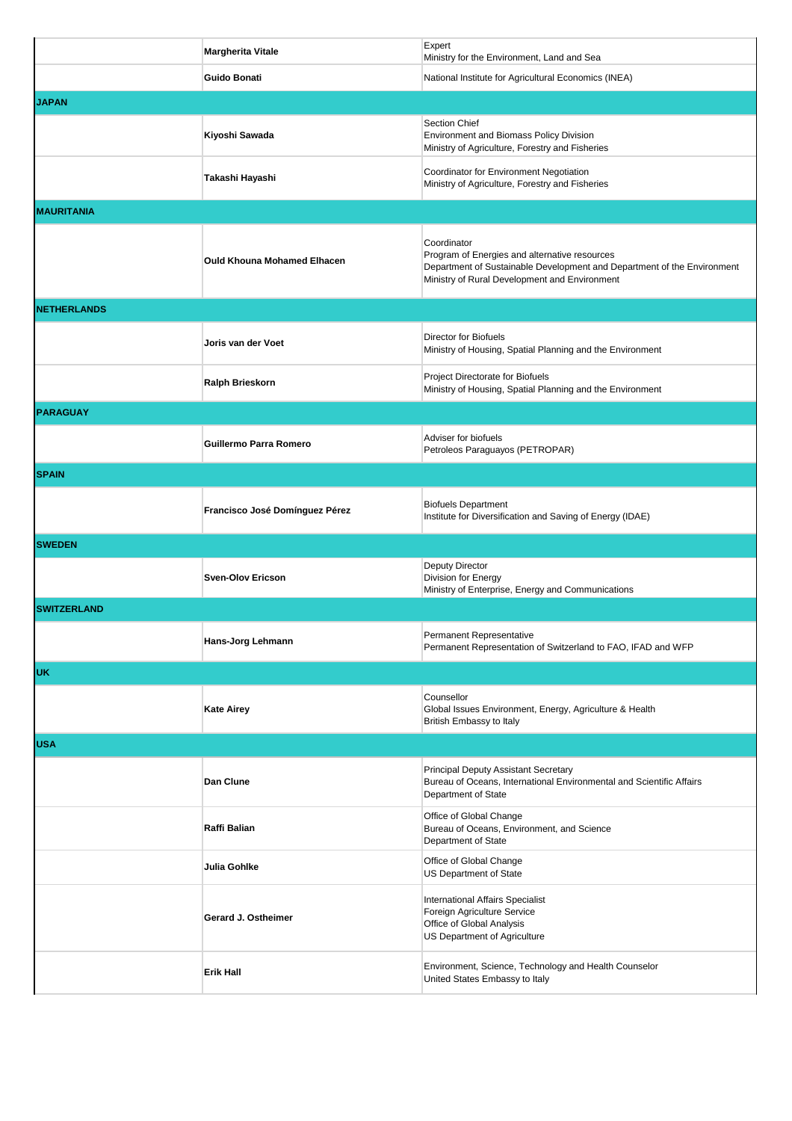|                     | <b>Margherita Vitale</b>           | Expert<br>Ministry for the Environment, Land and Sea                                                                                                                                     |  |
|---------------------|------------------------------------|------------------------------------------------------------------------------------------------------------------------------------------------------------------------------------------|--|
|                     | <b>Guido Bonati</b>                | National Institute for Agricultural Economics (INEA)                                                                                                                                     |  |
| <b>JAPAN</b>        |                                    |                                                                                                                                                                                          |  |
|                     | Kiyoshi Sawada                     | Section Chief<br>Environment and Biomass Policy Division<br>Ministry of Agriculture, Forestry and Fisheries                                                                              |  |
|                     | Takashi Hayashi                    | Coordinator for Environment Negotiation<br>Ministry of Agriculture, Forestry and Fisheries                                                                                               |  |
| <b>MAURITANIA</b>   |                                    |                                                                                                                                                                                          |  |
|                     | <b>Ould Khouna Mohamed Elhacen</b> | Coordinator<br>Program of Energies and alternative resources<br>Department of Sustainable Development and Department of the Environment<br>Ministry of Rural Development and Environment |  |
| <b>INETHERLANDS</b> |                                    |                                                                                                                                                                                          |  |
|                     | Joris van der Voet                 | Director for Biofuels<br>Ministry of Housing, Spatial Planning and the Environment                                                                                                       |  |
|                     | Ralph Brieskorn                    | Project Directorate for Biofuels<br>Ministry of Housing, Spatial Planning and the Environment                                                                                            |  |
| <b>PARAGUAY</b>     |                                    |                                                                                                                                                                                          |  |
|                     | Guillermo Parra Romero             | Adviser for biofuels<br>Petroleos Paraguayos (PETROPAR)                                                                                                                                  |  |
| <b>SPAIN</b>        |                                    |                                                                                                                                                                                          |  |
|                     | Francisco José Domínguez Pérez     | <b>Biofuels Department</b><br>Institute for Diversification and Saving of Energy (IDAE)                                                                                                  |  |
| <b>SWEDEN</b>       |                                    |                                                                                                                                                                                          |  |
|                     | <b>Sven-Olov Ericson</b>           | Deputy Director<br>Division for Energy<br>Ministry of Enterprise, Energy and Communications                                                                                              |  |
| <b>SWITZERLAND</b>  |                                    |                                                                                                                                                                                          |  |
|                     | Hans-Jorg Lehmann                  | Permanent Representative<br>Permanent Representation of Switzerland to FAO, IFAD and WFP                                                                                                 |  |
| IUK.                |                                    |                                                                                                                                                                                          |  |
|                     | <b>Kate Airey</b>                  | Counsellor<br>Global Issues Environment, Energy, Agriculture & Health<br>British Embassy to Italy                                                                                        |  |
| <b>USA</b>          |                                    |                                                                                                                                                                                          |  |
|                     | Dan Clune                          | Principal Deputy Assistant Secretary<br>Bureau of Oceans, International Environmental and Scientific Affairs<br>Department of State                                                      |  |
|                     | Raffi Balian                       | Office of Global Change<br>Bureau of Oceans, Environment, and Science<br>Department of State                                                                                             |  |
|                     | Julia Gohlke                       | Office of Global Change<br>US Department of State                                                                                                                                        |  |
|                     | Gerard J. Ostheimer                | International Affairs Specialist<br>Foreign Agriculture Service<br>Office of Global Analysis<br>US Department of Agriculture                                                             |  |
|                     | <b>Erik Hall</b>                   | Environment, Science, Technology and Health Counselor<br>United States Embassy to Italy                                                                                                  |  |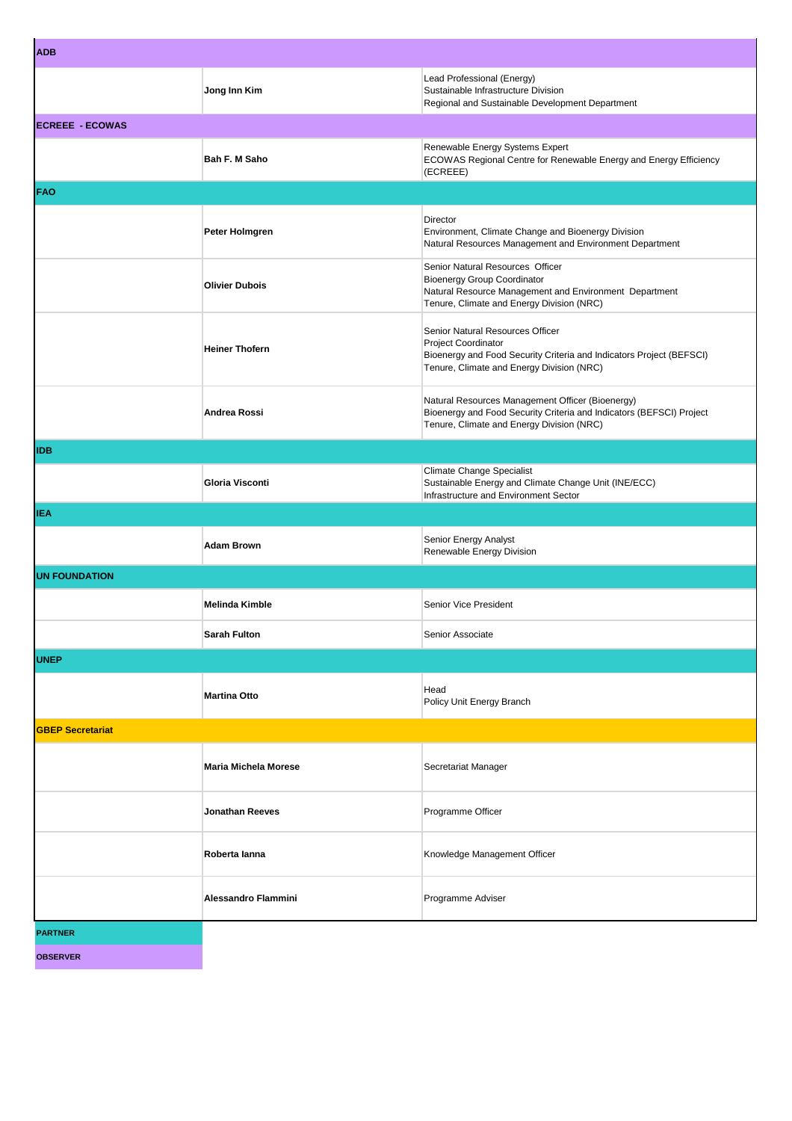| <b>ADB</b>              |                             |                                                                                                                                                                               |
|-------------------------|-----------------------------|-------------------------------------------------------------------------------------------------------------------------------------------------------------------------------|
|                         | Jong Inn Kim                | Lead Professional (Energy)<br>Sustainable Infrastructure Division<br>Regional and Sustainable Development Department                                                          |
| <b>ECREEE - ECOWAS</b>  |                             |                                                                                                                                                                               |
|                         | Bah F. M Saho               | Renewable Energy Systems Expert<br>ECOWAS Regional Centre for Renewable Energy and Energy Efficiency<br>(ECREEE)                                                              |
| <b>FAO</b>              |                             |                                                                                                                                                                               |
|                         | Peter Holmgren              | Director<br>Environment, Climate Change and Bioenergy Division<br>Natural Resources Management and Environment Department                                                     |
|                         | <b>Olivier Dubois</b>       | Senior Natural Resources Officer<br><b>Bioenergy Group Coordinator</b><br>Natural Resource Management and Environment Department<br>Tenure, Climate and Energy Division (NRC) |
|                         | <b>Heiner Thofern</b>       | Senior Natural Resources Officer<br>Project Coordinator<br>Bioenergy and Food Security Criteria and Indicators Project (BEFSCI)<br>Tenure, Climate and Energy Division (NRC)  |
|                         | Andrea Rossi                | Natural Resources Management Officer (Bioenergy)<br>Bioenergy and Food Security Criteria and Indicators (BEFSCI) Project<br>Tenure, Climate and Energy Division (NRC)         |
| <b>IDB</b>              |                             |                                                                                                                                                                               |
|                         | Gloria Visconti             | Climate Change Specialist<br>Sustainable Energy and Climate Change Unit (INE/ECC)<br>Infrastructure and Environment Sector                                                    |
| <b>IEA</b>              |                             |                                                                                                                                                                               |
|                         | <b>Adam Brown</b>           | Senior Energy Analyst<br>Renewable Energy Division                                                                                                                            |
| <b>UN FOUNDATION</b>    |                             |                                                                                                                                                                               |
|                         | <b>Melinda Kimble</b>       | Senior Vice President                                                                                                                                                         |
|                         | Sarah Fulton                | Senior Associate                                                                                                                                                              |
| <b>UNEP</b>             |                             |                                                                                                                                                                               |
|                         | <b>Martina Otto</b>         | Head<br>Policy Unit Energy Branch                                                                                                                                             |
| <b>GBEP Secretariat</b> |                             |                                                                                                                                                                               |
|                         | <b>Maria Michela Morese</b> | Secretariat Manager                                                                                                                                                           |
|                         | <b>Jonathan Reeves</b>      | Programme Officer                                                                                                                                                             |
|                         | Roberta lanna               | Knowledge Management Officer                                                                                                                                                  |
|                         | <b>Alessandro Flammini</b>  | Programme Adviser                                                                                                                                                             |
| <b>PARTNER</b>          |                             |                                                                                                                                                                               |
| <b>OBSERVER</b>         |                             |                                                                                                                                                                               |